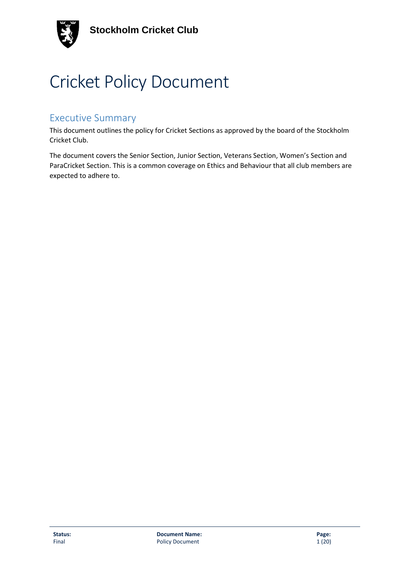

# Cricket Policy Document

# Executive Summary

This document outlines the policy for Cricket Sections as approved by the board of the Stockholm Cricket Club.

The document covers the Senior Section, Junior Section, Veterans Section, Women's Section and ParaCricket Section. This is a common coverage on Ethics and Behaviour that all club members are expected to adhere to.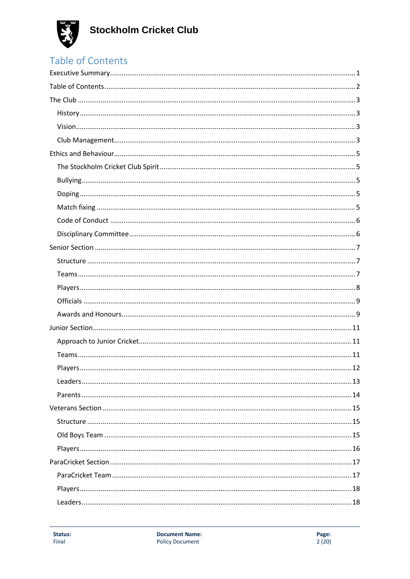

# Table of Contents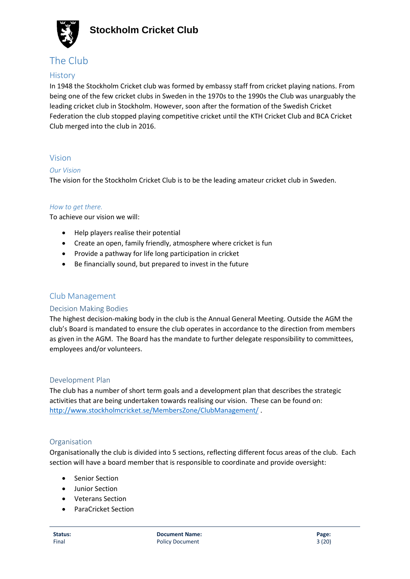

# The Club

#### **History**

In 1948 the Stockholm Cricket club was formed by embassy staff from cricket playing nations. From being one of the few cricket clubs in Sweden in the 1970s to the 1990s the Club was unarguably the leading cricket club in Stockholm. However, soon after the formation of the Swedish Cricket Federation the club stopped playing competitive cricket until the KTH Cricket Club and BCA Cricket Club merged into the club in 2016.

#### Vision

#### *Our Vision*

The vision for the Stockholm Cricket Club is to be the leading amateur cricket club in Sweden.

#### *How to get there.*

To achieve our vision we will:

- Help players realise their potential
- Create an open, family friendly, atmosphere where cricket is fun
- Provide a pathway for life long participation in cricket
- Be financially sound, but prepared to invest in the future

#### Club Management

#### Decision Making Bodies

The highest decision-making body in the club is the Annual General Meeting. Outside the AGM the club's Board is mandated to ensure the club operates in accordance to the direction from members as given in the AGM. The Board has the mandate to further delegate responsibility to committees, employees and/or volunteers.

#### Development Plan

The club has a number of short term goals and a development plan that describes the strategic activities that are being undertaken towards realising our vision. These can be found on: <http://www.stockholmcricket.se/MembersZone/ClubManagement/> .

#### Organisation

Organisationally the club is divided into 5 sections, reflecting different focus areas of the club. Each section will have a board member that is responsible to coordinate and provide oversight:

- **Senior Section**
- Junior Section
- Veterans Section
- ParaCricket Section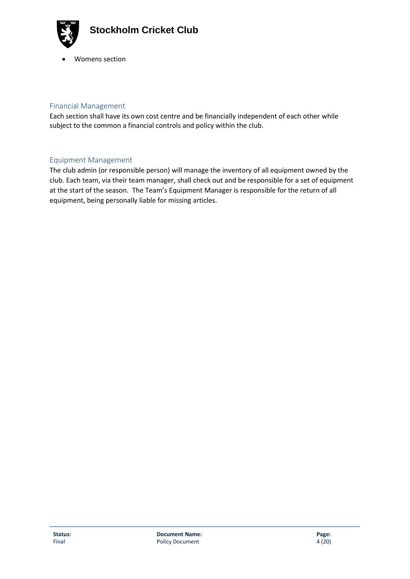

• Womens section

#### Financial Management

Each section shall have its own cost centre and be financially independent of each other while subject to the common a financial controls and policy within the club.

#### Equipment Management

The club admin (or responsible person) will manage the inventory of all equipment owned by the club. Each team, via their team manager, shall check out and be responsible for a set of equipment at the start of the season. The Team's Equipment Manager is responsible for the return of all equipment, being personally liable for missing articles.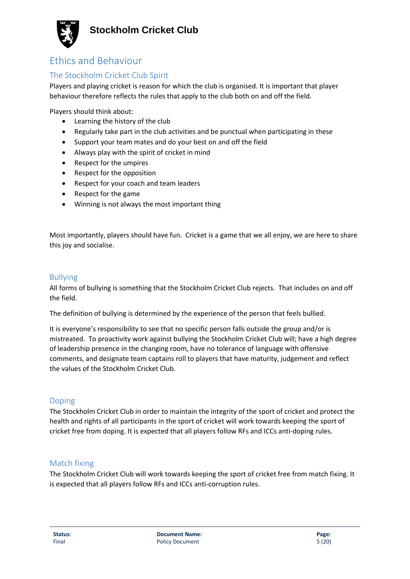

# Ethics and Behaviour

### The Stockholm Cricket Club Spirit

Players and playing cricket is reason for which the club is organised. It is important that player behaviour therefore reflects the rules that apply to the club both on and off the field.

Players should think about:

- Learning the history of the club
- Regularly take part in the club activities and be punctual when participating in these
- Support your team mates and do your best on and off the field
- Always play with the spirit of cricket in mind
- Respect for the umpires
- Respect for the opposition
- Respect for your coach and team leaders
- Respect for the game
- Winning is not always the most important thing

Most importantly, players should have fun. Cricket is a game that we all enjoy, we are here to share this joy and socialise.

#### Bullying

All forms of bullying is something that the Stockholm Cricket Club rejects. That includes on and off the field.

The definition of bullying is determined by the experience of the person that feels bullied.

It is everyone's responsibility to see that no specific person falls outside the group and/or is mistreated. To proactivity work against bullying the Stockholm Cricket Club will; have a high degree of leadership presence in the changing room, have no tolerance of language with offensive comments, and designate team captains roll to players that have maturity, judgement and reflect the values of the Stockholm Cricket Club.

#### Doping

The Stockholm Cricket Club in order to maintain the integrity of the sport of cricket and protect the health and rights of all participants in the sport of cricket will work towards keeping the sport of cricket free from doping. It is expected that all players follow RFs and ICCs anti-doping rules.

#### Match fixing

The Stockholm Cricket Club will work towards keeping the sport of cricket free from match fixing. It is expected that all players follow RFs and ICCs anti-corruption rules.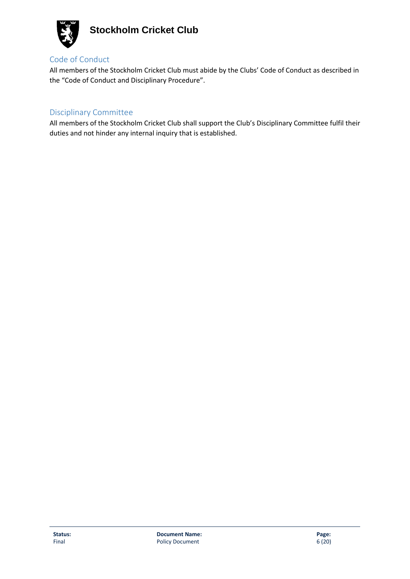

### Code of Conduct

All members of the Stockholm Cricket Club must abide by the Clubs' Code of Conduct as described in the "Code of Conduct and Disciplinary Procedure".

### Disciplinary Committee

All members of the Stockholm Cricket Club shall support the Club's Disciplinary Committee fulfil their duties and not hinder any internal inquiry that is established.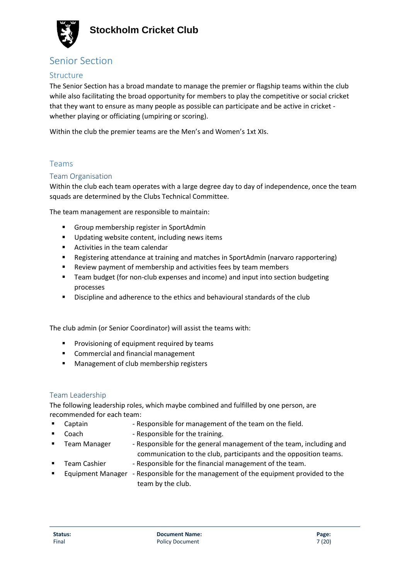

# Senior Section

#### Structure

The Senior Section has a broad mandate to manage the premier or flagship teams within the club while also facilitating the broad opportunity for members to play the competitive or social cricket that they want to ensure as many people as possible can participate and be active in cricket whether playing or officiating (umpiring or scoring).

Within the club the premier teams are the Men's and Women's 1xt XIs.

### Teams

#### Team Organisation

Within the club each team operates with a large degree day to day of independence, once the team squads are determined by the Clubs Technical Committee.

The team management are responsible to maintain:

- Group membership register in SportAdmin
- Updating website content, including news items
- Activities in the team calendar
- **E** Registering attendance at training and matches in SportAdmin (narvaro rapportering)
- Review payment of membership and activities fees by team members
- Team budget (for non-club expenses and income) and input into section budgeting processes
- Discipline and adherence to the ethics and behavioural standards of the club

The club admin (or Senior Coordinator) will assist the teams with:

- **•** Provisioning of equipment required by teams
- Commercial and financial management
- Management of club membership registers

#### Team Leadership

The following leadership roles, which maybe combined and fulfilled by one person, are recommended for each team:

- Captain Responsible for management of the team on the field.
- Coach Responsible for the training.
- Team Manager → Responsible for the general management of the team, including and communication to the club, participants and the opposition teams.
	- Team Cashier Responsible for the financial management of the team.
- Equipment Manager Responsible for the management of the equipment provided to the team by the club.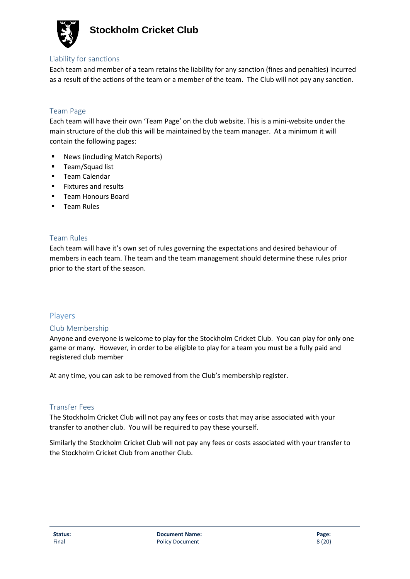

#### Liability for sanctions

Each team and member of a team retains the liability for any sanction (fines and penalties) incurred as a result of the actions of the team or a member of the team. The Club will not pay any sanction.

#### Team Page

Each team will have their own 'Team Page' on the club website. This is a mini-website under the main structure of the club this will be maintained by the team manager. At a minimum it will contain the following pages:

- News (including Match Reports)
- Team/Squad list
- Team Calendar
- Fixtures and results
- Team Honours Board
- Team Rules

#### Team Rules

Each team will have it's own set of rules governing the expectations and desired behaviour of members in each team. The team and the team management should determine these rules prior prior to the start of the season.

#### Players

#### Club Membership

Anyone and everyone is welcome to play for the Stockholm Cricket Club. You can play for only one game or many. However, in order to be eligible to play for a team you must be a fully paid and registered club member

At any time, you can ask to be removed from the Club's membership register.

#### Transfer Fees

The Stockholm Cricket Club will not pay any fees or costs that may arise associated with your transfer to another club. You will be required to pay these yourself.

Similarly the Stockholm Cricket Club will not pay any fees or costs associated with your transfer to the Stockholm Cricket Club from another Club.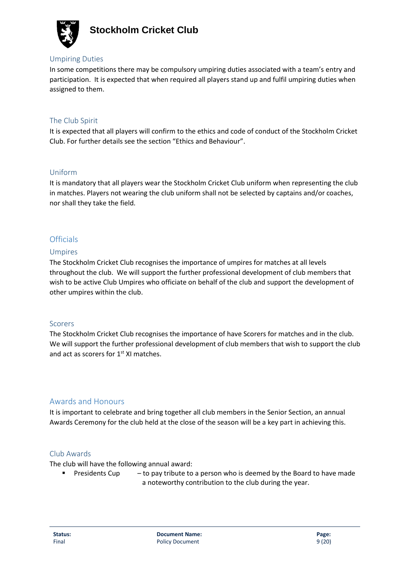

#### Umpiring Duties

In some competitions there may be compulsory umpiring duties associated with a team's entry and participation. It is expected that when required all players stand up and fulfil umpiring duties when assigned to them.

#### The Club Spirit

It is expected that all players will confirm to the ethics and code of conduct of the Stockholm Cricket Club. For further details see the section "Ethics and Behaviour".

#### Uniform

It is mandatory that all players wear the Stockholm Cricket Club uniform when representing the club in matches. Players not wearing the club uniform shall not be selected by captains and/or coaches, nor shall they take the field.

#### **Officials**

#### Umpires

The Stockholm Cricket Club recognises the importance of umpires for matches at all levels throughout the club. We will support the further professional development of club members that wish to be active Club Umpires who officiate on behalf of the club and support the development of other umpires within the club.

#### Scorers

The Stockholm Cricket Club recognises the importance of have Scorers for matches and in the club. We will support the further professional development of club members that wish to support the club and act as scorers for 1<sup>st</sup> XI matches.

#### Awards and Honours

It is important to celebrate and bring together all club members in the Senior Section, an annual Awards Ceremony for the club held at the close of the season will be a key part in achieving this.

#### Club Awards

The club will have the following annual award:

**•** Presidents Cup  $-$  to pay tribute to a person who is deemed by the Board to have made a noteworthy contribution to the club during the year.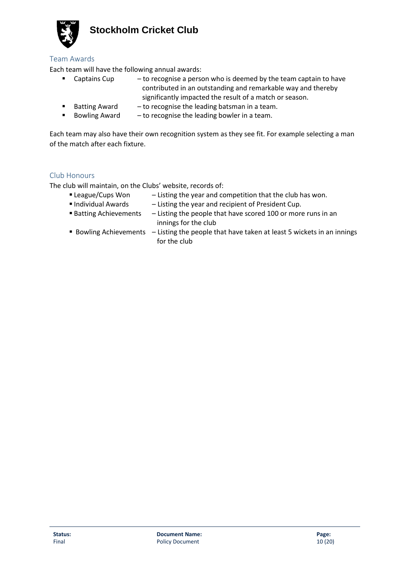

#### Team Awards

Each team will have the following annual awards:

- **E** Captains Cup to recognise a person who is deemed by the team captain to have contributed in an outstanding and remarkable way and thereby significantly impacted the result of a match or season.
- Batting Award to recognise the leading batsman in a team.
- **E** Bowling Award  $-$  to recognise the leading bowler in a team.

Each team may also have their own recognition system as they see fit. For example selecting a man of the match after each fixture.

#### Club Honours

The club will maintain, on the Clubs' website, records of:

- **Example 2** League/Cups Won Listing the year and competition that the club has won.
- Individual Awards Listing the year and recipient of President Cup.
- Batting Achievements Listing the people that have scored 100 or more runs in an innings for the club
- Bowling Achievements Listing the people that have taken at least 5 wickets in an innings for the club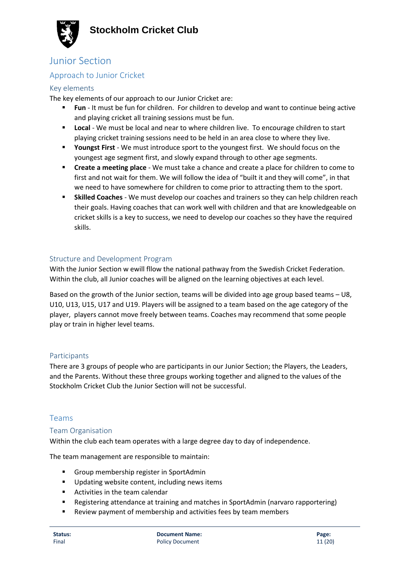

### Junior Section

### Approach to Junior Cricket

#### Key elements

The key elements of our approach to our Junior Cricket are:

- **Fun** It must be fun for children. For children to develop and want to continue being active and playing cricket all training sessions must be fun.
- **EXECT** Local We must be local and near to where children live. To encourage children to start playing cricket training sessions need to be held in an area close to where they live.
- **Youngst First** We must introduce sport to the youngest first. We should focus on the youngest age segment first, and slowly expand through to other age segments.
- **EXECT A MEET A MEET A MEET A MEET A CONCOCCITED A MEET A COMET A COMET A COME TO COME TO COME TO COME TO COME TO COME TO COME TO COME TO COME TO COME TO COME TO COME TO COME TO COME TO COME TO COME TO COME TO COME TO COME** first and not wait for them. We will follow the idea of "built it and they will come", in that we need to have somewhere for children to come prior to attracting them to the sport.
- **Skilled Coaches** We must develop our coaches and trainers so they can help children reach their goals. Having coaches that can work well with children and that are knowledgeable on cricket skills is a key to success, we need to develop our coaches so they have the required skills.

#### Structure and Development Program

With the Junior Section w ewill fllow the national pathway from the Swedish Cricket Federation. Within the club, all Junior coaches will be aligned on the learning objectives at each level.

Based on the growth of the Junior section, teams will be divided into age group based teams – U8, U10, U13, U15, U17 and U19. Players will be assigned to a team based on the age category of the player, players cannot move freely between teams. Coaches may recommend that some people play or train in higher level teams.

#### Participants

There are 3 groups of people who are participants in our Junior Section; the Players, the Leaders, and the Parents. Without these three groups working together and aligned to the values of the Stockholm Cricket Club the Junior Section will not be successful.

#### Teams

#### Team Organisation

Within the club each team operates with a large degree day to day of independence.

The team management are responsible to maintain:

- Group membership register in SportAdmin
- Updating website content, including news items
- Activities in the team calendar
- Registering attendance at training and matches in SportAdmin (narvaro rapportering)
- Review payment of membership and activities fees by team members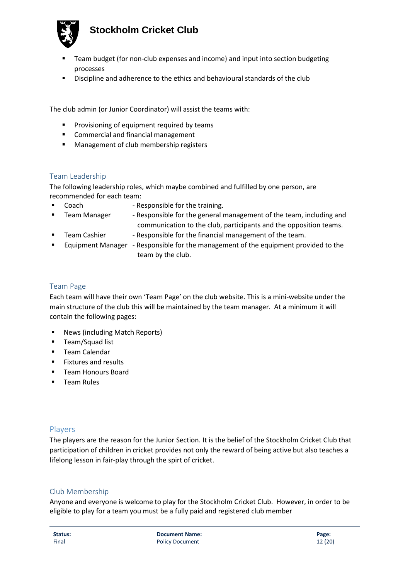

- Team budget (for non-club expenses and income) and input into section budgeting processes
- Discipline and adherence to the ethics and behavioural standards of the club

The club admin (or Junior Coordinator) will assist the teams with:

- Provisioning of equipment required by teams
- Commercial and financial management
- Management of club membership registers

#### Team Leadership

The following leadership roles, which maybe combined and fulfilled by one person, are recommended for each team:

- Coach Responsible for the training.
- Team Manager → Responsible for the general management of the team, including and communication to the club, participants and the opposition teams.
- Team Cashier  **Responsible for the financial management of the team.**
- Equipment Manager Responsible for the management of the equipment provided to the team by the club.

#### Team Page

Each team will have their own 'Team Page' on the club website. This is a mini-website under the main structure of the club this will be maintained by the team manager. At a minimum it will contain the following pages:

- News (including Match Reports)
- **■** Team/Squad list
- Team Calendar
- Fixtures and results
- Team Honours Board
- Team Rules

#### Players

The players are the reason for the Junior Section. It is the belief of the Stockholm Cricket Club that participation of children in cricket provides not only the reward of being active but also teaches a lifelong lesson in fair-play through the spirt of cricket.

#### Club Membership

Anyone and everyone is welcome to play for the Stockholm Cricket Club. However, in order to be eligible to play for a team you must be a fully paid and registered club member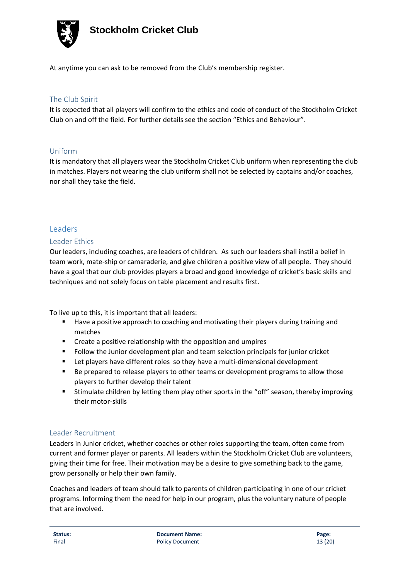

At anytime you can ask to be removed from the Club's membership register.

#### The Club Spirit

It is expected that all players will confirm to the ethics and code of conduct of the Stockholm Cricket Club on and off the field. For further details see the section "Ethics and Behaviour".

#### Uniform

It is mandatory that all players wear the Stockholm Cricket Club uniform when representing the club in matches. Players not wearing the club uniform shall not be selected by captains and/or coaches, nor shall they take the field.

#### Leaders

#### Leader Ethics

Our leaders, including coaches, are leaders of children. As such our leaders shall instil a belief in team work, mate-ship or camaraderie, and give children a positive view of all people. They should have a goal that our club provides players a broad and good knowledge of cricket's basic skills and techniques and not solely focus on table placement and results first.

To live up to this, it is important that all leaders:

- Have a positive approach to coaching and motivating their players during training and matches
- Create a positive relationship with the opposition and umpires
- Follow the Junior development plan and team selection principals for junior cricket
- Let players have different roles so they have a multi-dimensional development
- Be prepared to release players to other teams or development programs to allow those players to further develop their talent
- **E** Stimulate children by letting them play other sports in the "off" season, thereby improving their motor-skills

#### Leader Recruitment

Leaders in Junior cricket, whether coaches or other roles supporting the team, often come from current and former player or parents. All leaders within the Stockholm Cricket Club are volunteers, giving their time for free. Their motivation may be a desire to give something back to the game, grow personally or help their own family.

Coaches and leaders of team should talk to parents of children participating in one of our cricket programs. Informing them the need for help in our program, plus the voluntary nature of people that are involved.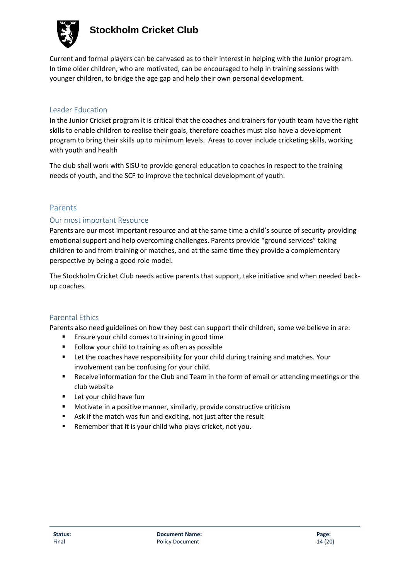

Current and formal players can be canvased as to their interest in helping with the Junior program. In time older children, who are motivated, can be encouraged to help in training sessions with younger children, to bridge the age gap and help their own personal development.

#### Leader Education

In the Junior Cricket program it is critical that the coaches and trainers for youth team have the right skills to enable children to realise their goals, therefore coaches must also have a development program to bring their skills up to minimum levels. Areas to cover include cricketing skills, working with youth and health

The club shall work with SISU to provide general education to coaches in respect to the training needs of youth, and the SCF to improve the technical development of youth.

#### Parents

#### Our most important Resource

Parents are our most important resource and at the same time a child's source of security providing emotional support and help overcoming challenges. Parents provide "ground services" taking children to and from training or matches, and at the same time they provide a complementary perspective by being a good role model.

The Stockholm Cricket Club needs active parents that support, take initiative and when needed backup coaches.

#### Parental Ethics

Parents also need guidelines on how they best can support their children, some we believe in are:

- Ensure your child comes to training in good time
- Follow your child to training as often as possible
- **EXECT LET THE COACHES HAVE RESPONSIBILITY for your child during training and matches. Your** involvement can be confusing for your child.
- Receive information for the Club and Team in the form of email or attending meetings or the club website
- Let your child have fun
- Motivate in a positive manner, similarly, provide constructive criticism
- Ask if the match was fun and exciting, not just after the result
- Remember that it is your child who plays cricket, not you.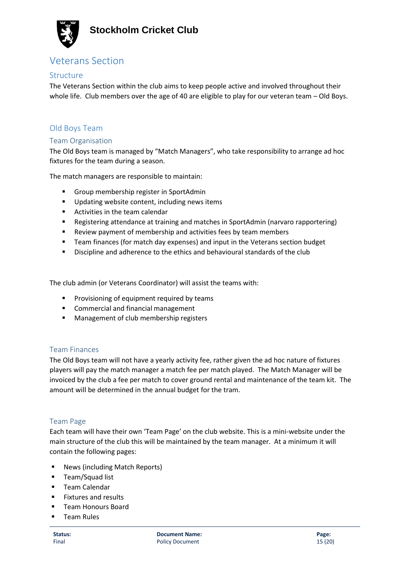

### Veterans Section

#### Structure

The Veterans Section within the club aims to keep people active and involved throughout their whole life. Club members over the age of 40 are eligible to play for our veteran team – Old Boys.

#### Old Boys Team

#### Team Organisation

The Old Boys team is managed by "Match Managers", who take responsibility to arrange ad hoc fixtures for the team during a season.

The match managers are responsible to maintain:

- Group membership register in SportAdmin
- Updating website content, including news items
- Activities in the team calendar
- Registering attendance at training and matches in SportAdmin (narvaro rapportering)
- Review payment of membership and activities fees by team members
- Team finances (for match day expenses) and input in the Veterans section budget
- Discipline and adherence to the ethics and behavioural standards of the club

The club admin (or Veterans Coordinator) will assist the teams with:

- Provisioning of equipment required by teams
- Commercial and financial management
- Management of club membership registers

#### Team Finances

The Old Boys team will not have a yearly activity fee, rather given the ad hoc nature of fixtures players will pay the match manager a match fee per match played. The Match Manager will be invoiced by the club a fee per match to cover ground rental and maintenance of the team kit. The amount will be determined in the annual budget for the tram.

#### Team Page

Each team will have their own 'Team Page' on the club website. This is a mini-website under the main structure of the club this will be maintained by the team manager. At a minimum it will contain the following pages:

- News (including Match Reports)
- Team/Squad list
- **Team Calendar**
- Fixtures and results
- Team Honours Board
- Team Rules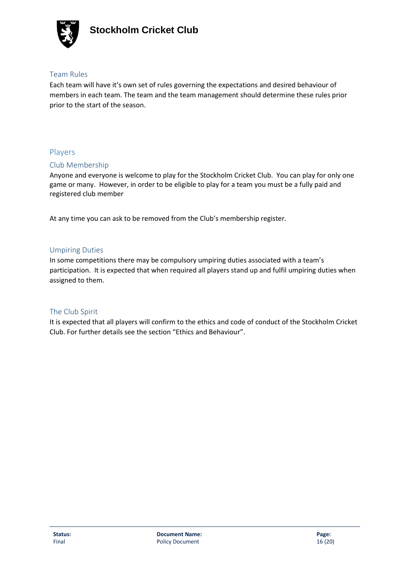

#### Team Rules

Each team will have it's own set of rules governing the expectations and desired behaviour of members in each team. The team and the team management should determine these rules prior prior to the start of the season.

### Players

#### Club Membership

Anyone and everyone is welcome to play for the Stockholm Cricket Club. You can play for only one game or many. However, in order to be eligible to play for a team you must be a fully paid and registered club member

At any time you can ask to be removed from the Club's membership register.

#### Umpiring Duties

In some competitions there may be compulsory umpiring duties associated with a team's participation. It is expected that when required all players stand up and fulfil umpiring duties when assigned to them.

#### The Club Spirit

It is expected that all players will confirm to the ethics and code of conduct of the Stockholm Cricket Club. For further details see the section "Ethics and Behaviour".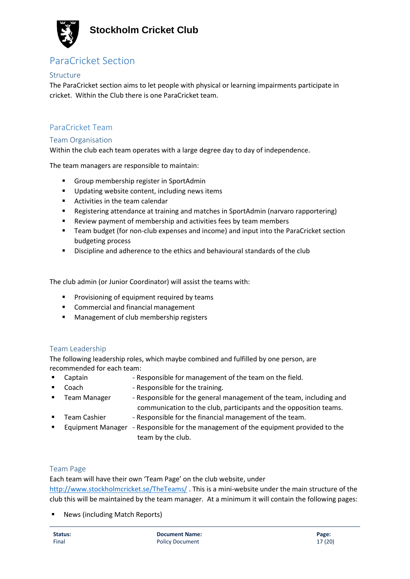

# ParaCricket Section

#### Structure

The ParaCricket section aims to let people with physical or learning impairments participate in cricket. Within the Club there is one ParaCricket team.

#### ParaCricket Team

#### Team Organisation

Within the club each team operates with a large degree day to day of independence.

The team managers are responsible to maintain:

- Group membership register in SportAdmin
- Updating website content, including news items
- Activities in the team calendar
- Registering attendance at training and matches in SportAdmin (narvaro rapportering)
- Review payment of membership and activities fees by team members
- Team budget (for non-club expenses and income) and input into the ParaCricket section budgeting process
- Discipline and adherence to the ethics and behavioural standards of the club

The club admin (or Junior Coordinator) will assist the teams with:

- Provisioning of equipment required by teams
- Commercial and financial management
- Management of club membership registers

#### Team Leadership

The following leadership roles, which maybe combined and fulfilled by one person, are recommended for each team:

- Captain **Figure 2.5** Responsible for management of the team on the field.
- Coach Responsible for the training.
- Team Manager → Responsible for the general management of the team, including and communication to the club, participants and the opposition teams.
- 
- Team Cashier Responsible for the financial management of the team.
- **■** Equipment Manager Responsible for the management of the equipment provided to the team by the club.

#### Team Page

Each team will have their own 'Team Page' on the club website, under <http://www.stockholmcricket.se/TheTeams/> . This is a mini-website under the main structure of the club this will be maintained by the team manager. At a minimum it will contain the following pages:

■ News (including Match Reports)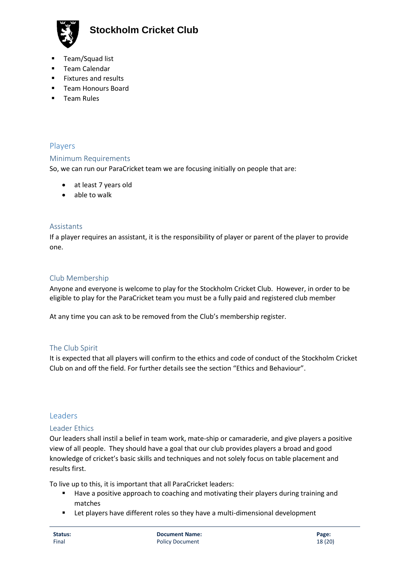

- Team/Squad list
- Team Calendar
- Fixtures and results
- Team Honours Board
- Team Rules

#### Players

#### Minimum Requirements

So, we can run our ParaCricket team we are focusing initially on people that are:

- at least 7 years old
- able to walk

#### Assistants

If a player requires an assistant, it is the responsibility of player or parent of the player to provide one.

#### Club Membership

Anyone and everyone is welcome to play for the Stockholm Cricket Club. However, in order to be eligible to play for the ParaCricket team you must be a fully paid and registered club member

At any time you can ask to be removed from the Club's membership register.

#### The Club Spirit

It is expected that all players will confirm to the ethics and code of conduct of the Stockholm Cricket Club on and off the field. For further details see the section "Ethics and Behaviour".

#### Leaders

#### Leader Ethics

Our leaders shall instil a belief in team work, mate-ship or camaraderie, and give players a positive view of all people. They should have a goal that our club provides players a broad and good knowledge of cricket's basic skills and techniques and not solely focus on table placement and results first.

To live up to this, it is important that all ParaCricket leaders:

- Have a positive approach to coaching and motivating their players during training and matches
- Let players have different roles so they have a multi-dimensional development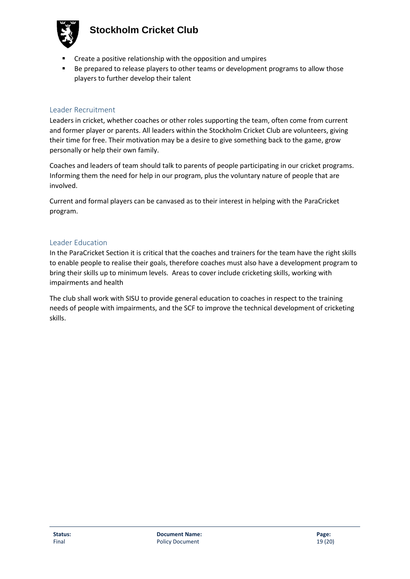

- Create a positive relationship with the opposition and umpires
- Be prepared to release players to other teams or development programs to allow those players to further develop their talent

#### Leader Recruitment

Leaders in cricket, whether coaches or other roles supporting the team, often come from current and former player or parents. All leaders within the Stockholm Cricket Club are volunteers, giving their time for free. Their motivation may be a desire to give something back to the game, grow personally or help their own family.

Coaches and leaders of team should talk to parents of people participating in our cricket programs. Informing them the need for help in our program, plus the voluntary nature of people that are involved.

Current and formal players can be canvased as to their interest in helping with the ParaCricket program.

#### Leader Education

In the ParaCricket Section it is critical that the coaches and trainers for the team have the right skills to enable people to realise their goals, therefore coaches must also have a development program to bring their skills up to minimum levels. Areas to cover include cricketing skills, working with impairments and health

The club shall work with SISU to provide general education to coaches in respect to the training needs of people with impairments, and the SCF to improve the technical development of cricketing skills.